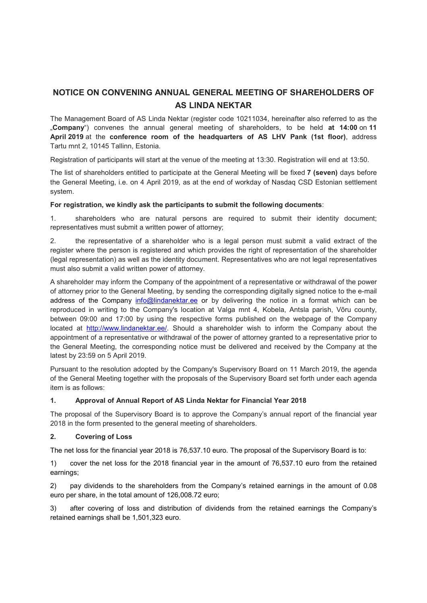# **NOTICE ON CONVENING ANNUAL GENERAL MEETING OF SHAREHOLDERS OF AS LINDA NEKTAR**

The Management Board of AS Linda Nektar (register code 10211034, hereinafter also referred to as the "**Company**") convenes the annual general meeting of shareholders, to be held **at 14:00** on **11 April 2019** at the **conference room of the headquarters of AS LHV Pank (1st floor)**, address Tartu mnt 2, 10145 Tallinn, Estonia.

Registration of participants will start at the venue of the meeting at 13:30. Registration will end at 13:50.

The list of shareholders entitled to participate at the General Meeting will be fixed **7 (seven)** days before the General Meeting, i.e. on 4 April 2019, as at the end of workday of Nasdaq CSD Estonian settlement system.

### **For registration, we kindly ask the participants to submit the following documents**:

1. shareholders who are natural persons are required to submit their identity document; representatives must submit a written power of attorney;

2. the representative of a shareholder who is a legal person must submit a valid extract of the register where the person is registered and which provides the right of representation of the shareholder (legal representation) as well as the identity document. Representatives who are not legal representatives must also submit a valid written power of attorney.

A shareholder may inform the Company of the appointment of a representative or withdrawal of the power of attorney prior to the General Meeting, by sending the corresponding digitally signed notice to the e-mail address of the Company info@lindanektar.ee or by delivering the notice in a format which can be reproduced in writing to the Company's location at Valga mnt 4, Kobela, Antsla parish, Võru county, between 09:00 and 17:00 by using the respective forms published on the webpage of the Company located at http://www.lindanektar.ee/. Should a shareholder wish to inform the Company about the appointment of a representative or withdrawal of the power of attorney granted to a representative prior to the General Meeting, the corresponding notice must be delivered and received by the Company at the latest by 23:59 on 5 April 2019.

Pursuant to the resolution adopted by the Company's Supervisory Board on 11 March 2019, the agenda of the General Meeting together with the proposals of the Supervisory Board set forth under each agenda item is as follows:

## **1. Approval of Annual Report of AS Linda Nektar for Financial Year 2018**

The proposal of the Supervisory Board is to approve the Company's annual report of the financial year 2018 in the form presented to the general meeting of shareholders.

## **2. Covering of Loss**

The net loss for the financial year 2018 is 76,537.10 euro. The proposal of the Supervisory Board is to:

1) cover the net loss for the 2018 financial year in the amount of 76,537.10 euro from the retained earnings;

2) pay dividends to the shareholders from the Company's retained earnings in the amount of 0.08 euro per share, in the total amount of 126,008.72 euro;

3) after covering of loss and distribution of dividends from the retained earnings the Company's retained earnings shall be 1,501,323 euro.